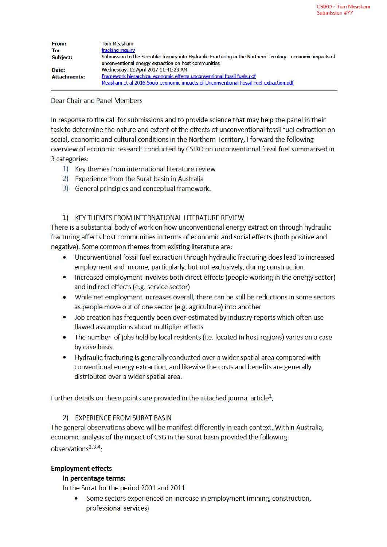| <b>From:</b>        | Tom.Measham                                                                                                                                                            |
|---------------------|------------------------------------------------------------------------------------------------------------------------------------------------------------------------|
| To:                 | fracking inquiry                                                                                                                                                       |
| <b>Subject:</b>     | Submission to the Scientific Inquiry into Hydraulic Fracturing in the Northern Territory - economic impacts of<br>unconventional energy extraction on host communities |
| Date:               | Wednesday, 12 April 2017 11:41:23 AM                                                                                                                                   |
| <b>Attachments:</b> | Framework hierarchical economic effects unconventional fossil fuels.pdf                                                                                                |
|                     | Measham et al 2016 Socio-economic impacts of Unconventional Fossil Fuel extraction.pdf                                                                                 |

#### Dear Chair and Panel Members

In response to the call for submissions and to provide science that may help the panel in their task to determine the nature and extent of the effects of unconventional fossil fuel extraction on social, economic and cultural conditions in the Northern Territory, I forward the following overview of economic research conducted by CSIRO on unconventional fossil fuel summarised in 3 categories:

- 1) Key themes from international literature review
- 2) Experience from the Surat basin in Australia
- 3) General principles and conceptual framework.

## 1) KEY THEMES FROM INTERNATIONAL LITERATURE REVIEW

There is a substantial body of work on how unconventional energy extraction through hydraulic fracturing affects host communities in terms of economic and social effects (both positive and negative). Some common themes from existing literature are:

- Unconventional fossil fuel extraction through hydraulic fracturing does lead to increased employment and income, particularly, but not exclusively, during construction.
- Increased employment involves both direct effects (people working in the energy sector) and indirect effects (e.g. service sector)
- While net employment increases overall, there can be still be reductions in some sectors as people move out of one sector (e.g. agriculture) into another
- Job creation has frequently been over-estimated by industry reports which often use flawed assumptions about multiplier effects
- The number of jobs held by local residents (i.e. located in host regions) varies on a case by case basis.
- Hydraulic fracturing is generally conducted over a wider spatial area compared with conventional energy extraction, and likewise the costs and benefits are generally distributed over a wider spatial area.

Further details on these points are provided in the attached journal article<sup>1</sup>.

# 2) EXPERIENCE FROM SURAT BASIN

The general observations above will be manifest differently in each context. Within Australia, economic analysis of the impact of CSG in the Surat basin provided the following observations<sup>2,3,4</sup>.

# **Employment effects**

# In percentage terms:

In the Surat for the period 2001 and 2011

Some sectors experienced an increase in employment (mining, construction, professional services)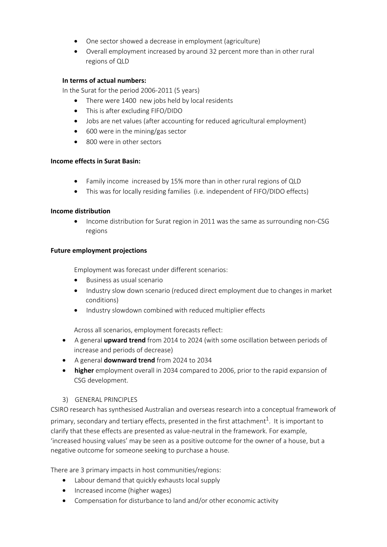- · One sector showed a decrease in employment (agriculture)
- · Overall employment increased by around 32 percent more than in other rural regions of QLD

#### **In terms of actual numbers:**

In the Surat for the period 2006-2011 (5 years)

- There were 1400 new jobs held by local residents
- This is after excluding FIFO/DIDO
- · Jobs are net values (after accounting for reduced agricultural employment)
- $\cdot$  600 were in the mining/gas sector
- 800 were in other sectors

## **Income effects in Surat Basin:**

- Family income increased by 15% more than in other rural regions of QLD
- · This was for locally residing families (i.e. independent of FIFO/DIDO effects)

## **Income distribution**

· Income distribution for Surat region in 2011 was the same as surrounding non-CSG regions

## **Future employment projections**

Employment was forecast under different scenarios:

- · Business as usual scenario
- · Industry slow down scenario (reduced direct employment due to changes in market conditions)
- · Industry slowdown combined with reduced multiplier effects

Across all scenarios, employment forecasts reflect:

- · A general **upward trend** from 2014 to 2024 (with some oscillation between periods of increase and periods of decrease)
- · A general **downward trend** from 2024 to 2034
- · **higher** employment overall in 2034 compared to 2006, prior to the rapid expansion of CSG development.

#### 3) GENERAL PRINCIPLES

CSIRO research has synthesised Australian and overseas research into a conceptual framework of primary, secondary and tertiary effects, presented in the first attachment<sup>1</sup>. It is important to clarify that these effects are presented as value-neutral in the framework. For example, 'increased housing values' may be seen as a positive outcome for the owner of a house, but a negative outcome for someone seeking to purchase a house.

There are 3 primary impacts in host communities/regions:

- · Labour demand that quickly exhausts local supply
- · Increased income (higher wages)
- · Compensation for disturbance to land and/or other economic activity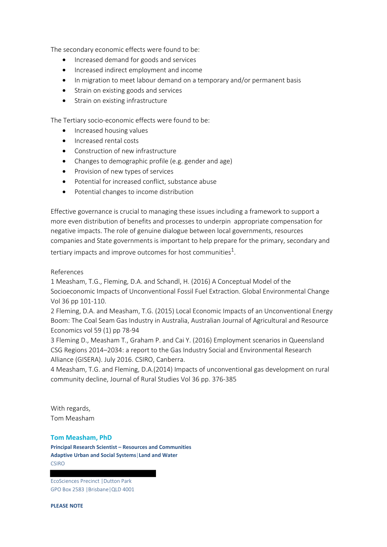The secondary economic effects were found to be:

- · Increased demand for goods and services
- · Increased indirect employment and income
- · In migration to meet labour demand on a temporary and/or permanent basis
- Strain on existing goods and services
- · Strain on existing infrastructure

The Tertiary socio-economic effects were found to be:

- · Increased housing values
- · Increased rental costs
- · Construction of new infrastructure
- Changes to demographic profile (e.g. gender and age)
- · Provision of new types of services
- · Potential for increased conflict, substance abuse
- · Potential changes to income distribution

Effective governance is crucial to managing these issues including a framework to support a more even distribution of benefits and processes to underpin appropriate compensation for negative impacts. The role of genuine dialogue between local governments, resources companies and State governments is important to help prepare for the primary, secondary and tertiary impacts and improve outcomes for host communities<sup>1</sup>.

References

1 Measham, T.G., Fleming, D.A. and Schandl, H. (2016) A Conceptual Model of the Socioeconomic Impacts of Unconventional Fossil Fuel Extraction. Global Environmental Change Vol 36 pp 101-110.

2 Fleming, D.A. and Measham, T.G. (2015) Local Economic Impacts of an Unconventional Energy Boom: The Coal Seam Gas Industry in Australia, Australian Journal of Agricultural and Resource Economics vol 59 (1) pp 78-94

3 Fleming D., Measham T., Graham P. and Cai Y. (2016) Employment scenarios in Queensland CSG Regions 2014–2034: a report to the Gas Industry Social and Environmental Research Alliance (GISERA). July 2016. CSIRO, Canberra.

4 Measham, T.G. and Fleming, D.A.(2014) Impacts of unconventional gas development on rural community decline, Journal of Rural Studies Vol 36 pp. 376-385

With regards, Tom Measham

#### **Tom Measham, PhD**

**Principal Research Scientist – Resources and Communities Adaptive Urban and Social Systems**|**Land and Water**  CSIRO

EcoSciences Precinct |Dutton Park GPO Box 2583 |Brisbane|QLD 4001

**PLEASE NOTE**